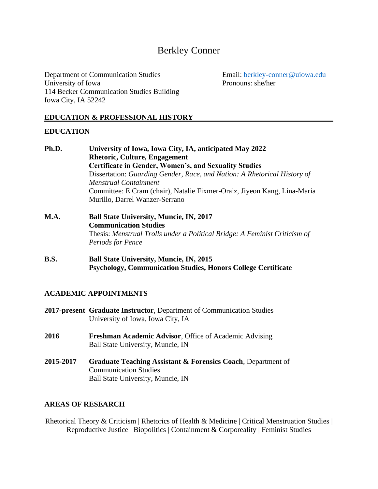# Berkley Conner

Department of Communication Studies Email: [berkley-conner@uiowa.edu](mailto:berkley-conner@uiowa.edu) University of Iowa Pronouns: she/her 114 Becker Communication Studies Building Iowa City, IA 52242

# **EDUCATION & PROFESSIONAL HISTORY**

#### **EDUCATION**

| Ph.D. | University of Iowa, Iowa City, IA, anticipated May 2022                    |
|-------|----------------------------------------------------------------------------|
|       | <b>Rhetoric, Culture, Engagement</b>                                       |
|       | <b>Certificate in Gender, Women's, and Sexuality Studies</b>               |
|       | Dissertation: Guarding Gender, Race, and Nation: A Rhetorical History of   |
|       | Menstrual Containment                                                      |
|       | Committee: E Cram (chair), Natalie Fixmer-Oraiz, Jiyeon Kang, Lina-Maria   |
|       | Murillo, Darrel Wanzer-Serrano                                             |
| M.A.  | <b>Ball State University, Muncie, IN, 2017</b>                             |
|       | <b>Communication Studies</b>                                               |
|       | Thesis: Menstrual Trolls under a Political Bridge: A Feminist Criticism of |
|       | <b>Periods for Pence</b>                                                   |

**B.S. Ball State University, Muncie, IN, 2015 Psychology, Communication Studies, Honors College Certificate**

# **ACADEMIC APPOINTMENTS**

- **2017-present Graduate Instructor**, Department of Communication Studies University of Iowa, Iowa City, IA
- **2016 Freshman Academic Advisor**, Office of Academic Advising Ball State University, Muncie, IN
- **2015-2017 Graduate Teaching Assistant & Forensics Coach**, Department of Communication Studies Ball State University, Muncie, IN

#### **AREAS OF RESEARCH**

Rhetorical Theory & Criticism | Rhetorics of Health & Medicine | Critical Menstruation Studies | Reproductive Justice | Biopolitics | Containment & Corporeality | Feminist Studies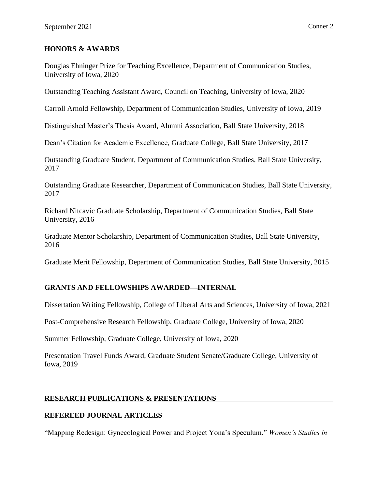#### **HONORS & AWARDS**

Douglas Ehninger Prize for Teaching Excellence, Department of Communication Studies, University of Iowa, 2020

Outstanding Teaching Assistant Award, Council on Teaching, University of Iowa, 2020

Carroll Arnold Fellowship, Department of Communication Studies, University of Iowa, 2019

Distinguished Master's Thesis Award, Alumni Association, Ball State University, 2018

Dean's Citation for Academic Excellence, Graduate College, Ball State University, 2017

Outstanding Graduate Student, Department of Communication Studies, Ball State University, 2017

Outstanding Graduate Researcher, Department of Communication Studies, Ball State University, 2017

Richard Nitcavic Graduate Scholarship, Department of Communication Studies, Ball State University, 2016

Graduate Mentor Scholarship, Department of Communication Studies, Ball State University, 2016

Graduate Merit Fellowship, Department of Communication Studies, Ball State University, 2015

# **GRANTS AND FELLOWSHIPS AWARDED—INTERNAL**

Dissertation Writing Fellowship, College of Liberal Arts and Sciences, University of Iowa, 2021

Post-Comprehensive Research Fellowship, Graduate College, University of Iowa, 2020

Summer Fellowship, Graduate College, University of Iowa, 2020

Presentation Travel Funds Award, Graduate Student Senate/Graduate College, University of Iowa, 2019

# **RESEARCH PUBLICATIONS & PRESENTATIONS**

# **REFEREED JOURNAL ARTICLES**

"Mapping Redesign: Gynecological Power and Project Yona's Speculum." *Women's Studies in*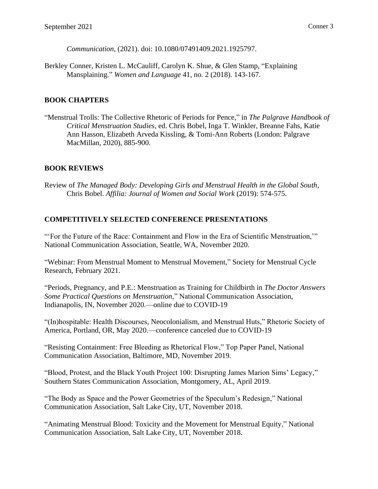*Communication*, (2021). doi: 10.1080/07491409.2021.1925797.

Berkley Conner, Kristen L. McCauliff, Carolyn K. Shue, & Glen Stamp, "Explaining Mansplaining." *Women and Language* 41, no. 2 (2018). 143-167.

# **BOOK CHAPTERS**

"Menstrual Trolls: The Collective Rhetoric of Periods for Pence," in *The Palgrave Handbook of Critical Menstruation Studies*, ed. Chris Bobel, Inga T. Winkler, Breanne Fahs, Katie Ann Hasson, Elizabeth Arveda Kissling, & Tomi-Ann Roberts (London: Palgrave MacMillan, 2020), 885-900.

# **BOOK REVIEWS**

Review of *The Managed Body: Developing Girls and Menstrual Health in the Global South*, Chris Bobel. *Affilia: Journal of Women and Social Work* (2019): 574-575.

# **COMPETITIVELY SELECTED CONFERENCE PRESENTATIONS**

"'For the Future of the Race: Containment and Flow in the Era of Scientific Menstruation,'" National Communication Association, Seattle, WA, November 2020.

"Webinar: From Menstrual Moment to Menstrual Movement," Society for Menstrual Cycle Research, February 2021.

"Periods, Pregnancy, and P.E.: Menstruation as Training for Childbirth in *The Doctor Answers Some Practical Questions on Menstruation*," National Communication Association, Indianapolis, IN, November 2020.—online due to COVID-19

"(In)hospitable: Health Discourses, Neocolonialism, and Menstrual Huts," Rhetoric Society of America, Portland, OR, May 2020.—conference canceled due to COVID-19

"Resisting Containment: Free Bleeding as Rhetorical Flow," Top Paper Panel, National Communication Association, Baltimore, MD, November 2019.

"Blood, Protest, and the Black Youth Project 100: Disrupting James Marion Sims' Legacy," Southern States Communication Association, Montgomery, AL, April 2019.

"The Body as Space and the Power Geometries of the Speculum's Redesign," National Communication Association, Salt Lake City, UT, November 2018.

"Animating Menstrual Blood: Toxicity and the Movement for Menstrual Equity," National Communication Association, Salt Lake City, UT, November 2018.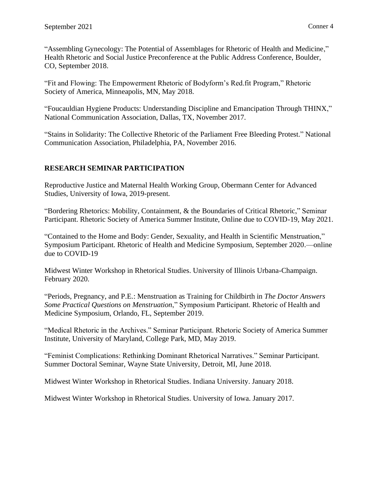"Assembling Gynecology: The Potential of Assemblages for Rhetoric of Health and Medicine," Health Rhetoric and Social Justice Preconference at the Public Address Conference, Boulder, CO, September 2018.

"Fit and Flowing: The Empowerment Rhetoric of Bodyform's Red.fit Program," Rhetoric Society of America, Minneapolis, MN, May 2018.

"Foucauldian Hygiene Products: Understanding Discipline and Emancipation Through THINX," National Communication Association, Dallas, TX, November 2017.

"Stains in Solidarity: The Collective Rhetoric of the Parliament Free Bleeding Protest." National Communication Association, Philadelphia, PA, November 2016.

# **RESEARCH SEMINAR PARTICIPATION**

Reproductive Justice and Maternal Health Working Group, Obermann Center for Advanced Studies, University of Iowa, 2019-present.

"Bordering Rhetorics: Mobility, Containment, & the Boundaries of Critical Rhetoric," Seminar Participant. Rhetoric Society of America Summer Institute, Online due to COVID-19, May 2021.

"Contained to the Home and Body: Gender, Sexuality, and Health in Scientific Menstruation," Symposium Participant. Rhetoric of Health and Medicine Symposium, September 2020.—online due to COVID-19

Midwest Winter Workshop in Rhetorical Studies. University of Illinois Urbana-Champaign. February 2020.

"Periods, Pregnancy, and P.E.: Menstruation as Training for Childbirth in *The Doctor Answers Some Practical Questions on Menstruation*," Symposium Participant. Rhetoric of Health and Medicine Symposium, Orlando, FL, September 2019.

"Medical Rhetoric in the Archives." Seminar Participant. Rhetoric Society of America Summer Institute, University of Maryland, College Park, MD, May 2019.

"Feminist Complications: Rethinking Dominant Rhetorical Narratives." Seminar Participant. Summer Doctoral Seminar, Wayne State University, Detroit, MI, June 2018.

Midwest Winter Workshop in Rhetorical Studies. Indiana University. January 2018.

Midwest Winter Workshop in Rhetorical Studies. University of Iowa. January 2017.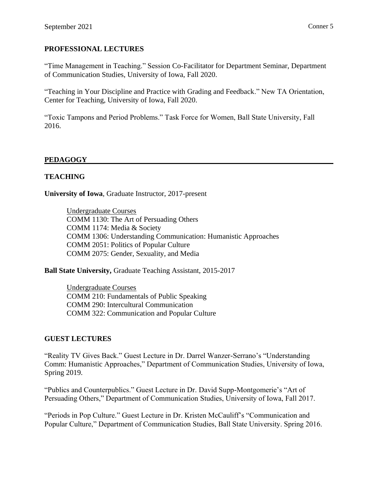# **PROFESSIONAL LECTURES**

"Time Management in Teaching." Session Co-Facilitator for Department Seminar, Department of Communication Studies, University of Iowa, Fall 2020.

"Teaching in Your Discipline and Practice with Grading and Feedback." New TA Orientation, Center for Teaching, University of Iowa, Fall 2020.

"Toxic Tampons and Period Problems." Task Force for Women, Ball State University, Fall 2016.

# **PEDAGOGY**

# **TEACHING**

**University of Iowa**, Graduate Instructor, 2017-present

Undergraduate Courses COMM 1130: The Art of Persuading Others COMM 1174: Media & Society COMM 1306: Understanding Communication: Humanistic Approaches COMM 2051: Politics of Popular Culture COMM 2075: Gender, Sexuality, and Media

**Ball State University,** Graduate Teaching Assistant, 2015-2017

Undergraduate Courses COMM 210: Fundamentals of Public Speaking COMM 290: Intercultural Communication COMM 322: Communication and Popular Culture

#### **GUEST LECTURES**

"Reality TV Gives Back." Guest Lecture in Dr. Darrel Wanzer-Serrano's "Understanding Comm: Humanistic Approaches," Department of Communication Studies, University of Iowa, Spring 2019.

"Publics and Counterpublics." Guest Lecture in Dr. David Supp-Montgomerie's "Art of Persuading Others," Department of Communication Studies, University of Iowa, Fall 2017.

"Periods in Pop Culture." Guest Lecture in Dr. Kristen McCauliff's "Communication and Popular Culture," Department of Communication Studies, Ball State University. Spring 2016.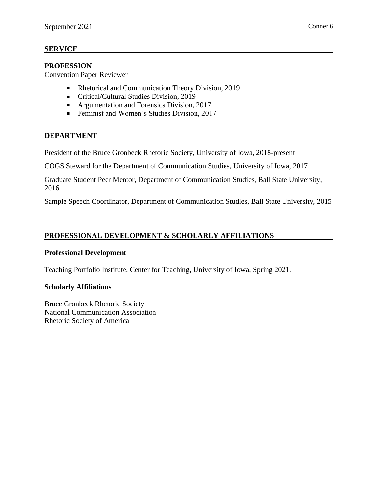#### **SERVICE**

#### **PROFESSION**

Convention Paper Reviewer

- Rhetorical and Communication Theory Division, 2019
- **Critical/Cultural Studies Division, 2019**
- **Argumentation and Forensics Division, 2017**
- Feminist and Women's Studies Division, 2017

#### **DEPARTMENT**

President of the Bruce Gronbeck Rhetoric Society, University of Iowa, 2018-present

COGS Steward for the Department of Communication Studies, University of Iowa, 2017

Graduate Student Peer Mentor, Department of Communication Studies, Ball State University, 2016

Sample Speech Coordinator, Department of Communication Studies, Ball State University, 2015

# **PROFESSIONAL DEVELOPMENT & SCHOLARLY AFFILIATIONS**

#### **Professional Development**

Teaching Portfolio Institute, Center for Teaching, University of Iowa, Spring 2021.

#### **Scholarly Affiliations**

Bruce Gronbeck Rhetoric Society National Communication Association Rhetoric Society of America